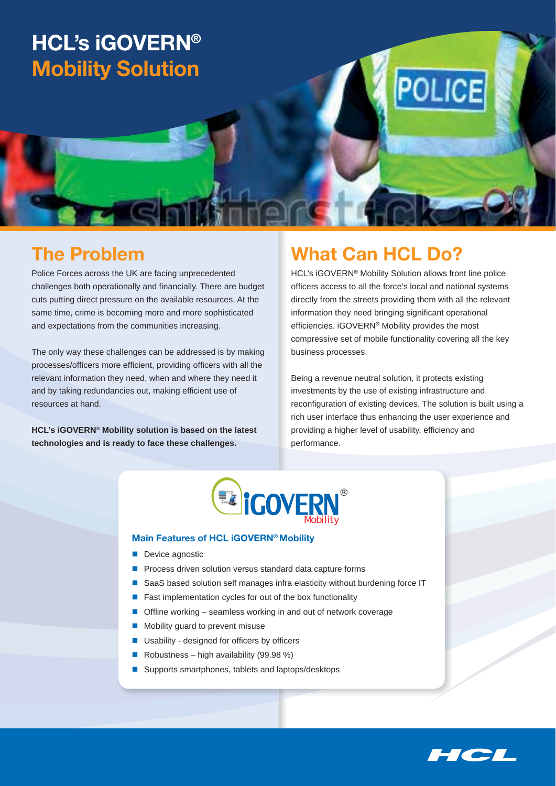# **HCL's iGOVERN® Mobility Solution**

## **The Problem**

Police Forces across the UK are facing unprecedented challenges both operationally and financially. There are budget cuts putting direct pressure on the available resources. At the same time, crime is becoming more and more sophisticated and expectations from the communities increasing.

The only way these challenges can be addressed is by making processes/officers more efficient, providing officers with all the relevant information they need, when and where they need it and by taking redundancies out, making efficient use of resources at hand.

**HCL's iGOVERN® Mobility solution is based on the latest technologies and is ready to face these challenges.**

## **What Can HCL Do?**

HCL's iGOVERN**®** Mobility Solution allows front line police officers access to all the force's local and national systems directly from the streets providing them with all the relevant information they need bringing significant operational efficiencies. iGOVERN<sup>®</sup> Mobility provides the most compressive set of mobile functionality covering all the key business processes.

**POLICE** 

Being a revenue neutral solution, it protects existing investments by the use of existing infrastructure and reconfiguration of existing devices. The solution is built using a rich user interface thus enhancing the user experience and providing a higher level of usability, efficiency and performance.



#### **Main Features of HCL iGOVERN® Mobility**

- Device agnostic
- **P** Process driven solution versus standard data capture forms
- SaaS based solution self manages infra elasticity without burdening force IT
- $\blacksquare$  Fast implementation cycles for out of the box functionality
- $\blacksquare$  Offline working seamless working in and out of network coverage
- Mobility guard to prevent misuse
- $\blacksquare$  Usability designed for officers by officers
- Robustness high availability  $(99.98\%)$
- Supports smartphones, tablets and laptops/desktops